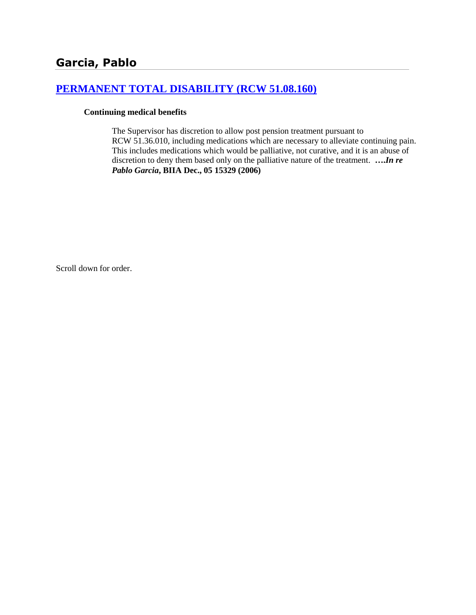# **[PERMANENT TOTAL DISABILITY \(RCW 51.08.160\)](http://www.biia.wa.gov/SDSubjectIndex.html#PERMANENT_TOTAL_DISABILITY)**

### **Continuing medical benefits**

The Supervisor has discretion to allow post pension treatment pursuant to RCW 51.36.010, including medications which are necessary to alleviate continuing pain. This includes medications which would be palliative, not curative, and it is an abuse of discretion to deny them based only on the palliative nature of the treatment. **….***In re Pablo Garcia***, BIIA Dec., 05 15329 (2006)**

Scroll down for order.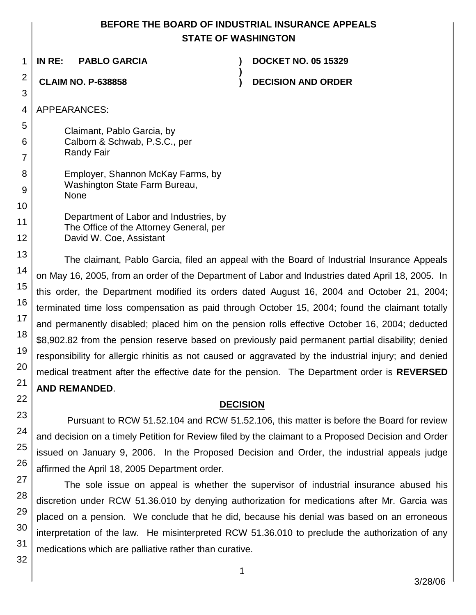## **BEFORE THE BOARD OF INDUSTRIAL INSURANCE APPEALS STATE OF WASHINGTON**

**)**

1 **IN RE: PABLO GARCIA ) DOCKET NO. 05 15329**

**CLAIM NO. P-638858 ) DECISION AND ORDER**

APPEARANCES:

Claimant, Pablo Garcia, by Calbom & Schwab, P.S.C., per Randy Fair

| 8 | Employer, Shannon McKay Farms, by            |
|---|----------------------------------------------|
| 9 | Washington State Farm Bureau,<br><b>None</b> |
| 0 |                                              |

Department of Labor and Industries, by The Office of the Attorney General, per David W. Coe, Assistant

The claimant, Pablo Garcia, filed an appeal with the Board of Industrial Insurance Appeals on May 16, 2005, from an order of the Department of Labor and Industries dated April 18, 2005. In this order, the Department modified its orders dated August 16, 2004 and October 21, 2004; terminated time loss compensation as paid through October 15, 2004; found the claimant totally and permanently disabled; placed him on the pension rolls effective October 16, 2004; deducted \$8,902.82 from the pension reserve based on previously paid permanent partial disability; denied responsibility for allergic rhinitis as not caused or aggravated by the industrial injury; and denied medical treatment after the effective date for the pension. The Department order is **REVERSED AND REMANDED**.

## **DECISION**

Pursuant to RCW 51.52.104 and RCW 51.52.106, this matter is before the Board for review and decision on a timely Petition for Review filed by the claimant to a Proposed Decision and Order issued on January 9, 2006. In the Proposed Decision and Order, the industrial appeals judge affirmed the April 18, 2005 Department order.

The sole issue on appeal is whether the supervisor of industrial insurance abused his discretion under RCW 51.36.010 by denying authorization for medications after Mr. Garcia was placed on a pension. We conclude that he did, because his denial was based on an erroneous interpretation of the law. He misinterpreted RCW 51.36.010 to preclude the authorization of any medications which are palliative rather than curative.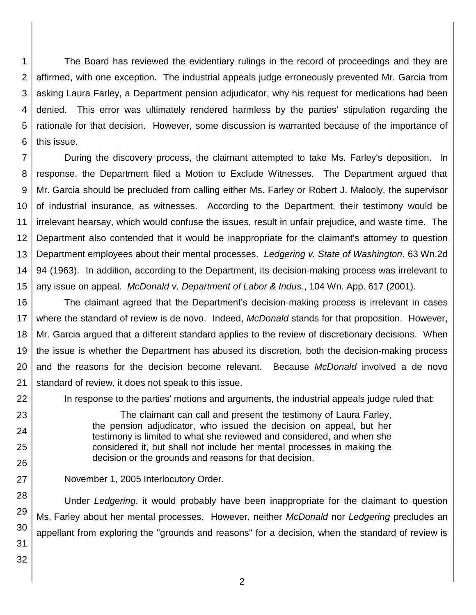1 2 3 4 5 6 The Board has reviewed the evidentiary rulings in the record of proceedings and they are affirmed, with one exception. The industrial appeals judge erroneously prevented Mr. Garcia from asking Laura Farley, a Department pension adjudicator, why his request for medications had been denied. This error was ultimately rendered harmless by the parties' stipulation regarding the rationale for that decision. However, some discussion is warranted because of the importance of this issue.

7 8 9 10 11 12 13 14 15 During the discovery process, the claimant attempted to take Ms. Farley's deposition. In response, the Department filed a Motion to Exclude Witnesses. The Department argued that Mr. Garcia should be precluded from calling either Ms. Farley or Robert J. Malooly, the supervisor of industrial insurance, as witnesses. According to the Department, their testimony would be irrelevant hearsay, which would confuse the issues, result in unfair prejudice, and waste time. The Department also contended that it would be inappropriate for the claimant's attorney to question Department employees about their mental processes. *Ledgering v. State of Washington*, 63 Wn.2d 94 (1963). In addition, according to the Department, its decision-making process was irrelevant to any issue on appeal. *McDonald v. Department of Labor & Indus.*, 104 Wn. App. 617 (2001).

16 17 18 19 20 21 The claimant agreed that the Department's decision-making process is irrelevant in cases where the standard of review is de novo. Indeed, *McDonald* stands for that proposition. However, Mr. Garcia argued that a different standard applies to the review of discretionary decisions. When the issue is whether the Department has abused its discretion, both the decision-making process and the reasons for the decision become relevant. Because *McDonald* involved a de novo standard of review, it does not speak to this issue.

In response to the parties' motions and arguments, the industrial appeals judge ruled that:

The claimant can call and present the testimony of Laura Farley, the pension adjudicator, who issued the decision on appeal, but her testimony is limited to what she reviewed and considered, and when she considered it, but shall not include her mental processes in making the decision or the grounds and reasons for that decision.

November 1, 2005 Interlocutory Order.

28 Under *Ledgering*, it would probably have been inappropriate for the claimant to question Ms. Farley about her mental processes. However, neither *McDonald* nor *Ledgering* precludes an appellant from exploring the "grounds and reasons" for a decision, when the standard of review is

31 32

22

23

24

25

26

27

29 30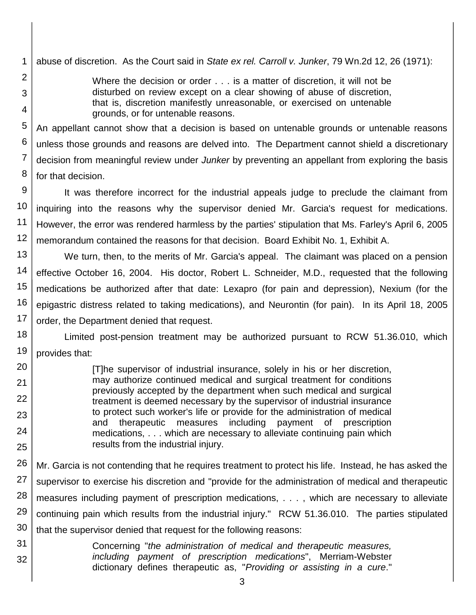1 abuse of discretion. As the Court said in *State ex rel. Carroll v. Junker*, 79 Wn.2d 12, 26 (1971):

2

3

4

20

21 22

23

24

25

Where the decision or order . . . is a matter of discretion, it will not be disturbed on review except on a clear showing of abuse of discretion, that is, discretion manifestly unreasonable, or exercised on untenable grounds, or for untenable reasons.

5 6 7 8 An appellant cannot show that a decision is based on untenable grounds or untenable reasons unless those grounds and reasons are delved into. The Department cannot shield a discretionary decision from meaningful review under *Junker* by preventing an appellant from exploring the basis for that decision.

9 10 11 12 It was therefore incorrect for the industrial appeals judge to preclude the claimant from inquiring into the reasons why the supervisor denied Mr. Garcia's request for medications. However, the error was rendered harmless by the parties' stipulation that Ms. Farley's April 6, 2005 memorandum contained the reasons for that decision. Board Exhibit No. 1, Exhibit A.

13 14 15 16 17 We turn, then, to the merits of Mr. Garcia's appeal. The claimant was placed on a pension effective October 16, 2004. His doctor, Robert L. Schneider, M.D., requested that the following medications be authorized after that date: Lexapro (for pain and depression), Nexium (for the epigastric distress related to taking medications), and Neurontin (for pain). In its April 18, 2005 order, the Department denied that request.

18 19 Limited post-pension treatment may be authorized pursuant to RCW 51.36.010, which provides that:

[T]he supervisor of industrial insurance, solely in his or her discretion, may authorize continued medical and surgical treatment for conditions previously accepted by the department when such medical and surgical treatment is deemed necessary by the supervisor of industrial insurance to protect such worker's life or provide for the administration of medical and therapeutic measures including payment of prescription medications, . . . which are necessary to alleviate continuing pain which results from the industrial injury.

26 27 28 29 30 Mr. Garcia is not contending that he requires treatment to protect his life. Instead, he has asked the supervisor to exercise his discretion and "provide for the administration of medical and therapeutic measures including payment of prescription medications, . . . , which are necessary to alleviate continuing pain which results from the industrial injury." RCW 51.36.010. The parties stipulated that the supervisor denied that request for the following reasons:

31 32 Concerning "*the administration of medical and therapeutic measures, including payment of prescription medications*", Merriam-Webster dictionary defines therapeutic as, "*Providing or assisting in a cure*."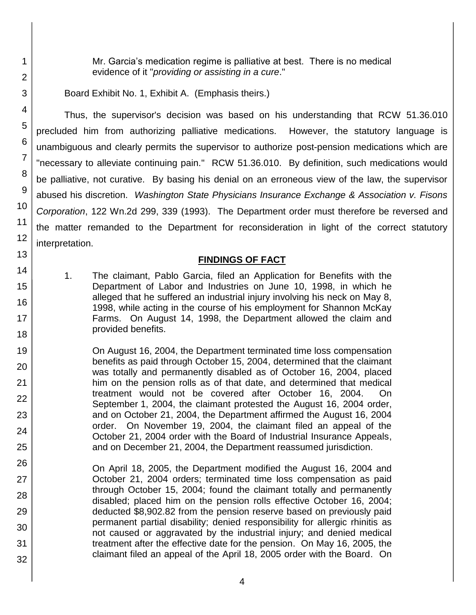Mr. Garcia's medication regime is palliative at best. There is no medical evidence of it "*providing or assisting in a cure*."

Board Exhibit No. 1, Exhibit A. (Emphasis theirs.)

Thus, the supervisor's decision was based on his understanding that RCW 51.36.010 precluded him from authorizing palliative medications. However, the statutory language is unambiguous and clearly permits the supervisor to authorize post-pension medications which are "necessary to alleviate continuing pain." RCW 51.36.010. By definition, such medications would be palliative, not curative. By basing his denial on an erroneous view of the law, the supervisor abused his discretion. *Washington State Physicians Insurance Exchange & Association v. Fisons Corporation*, 122 Wn.2d 299, 339 (1993). The Department order must therefore be reversed and the matter remanded to the Department for reconsideration in light of the correct statutory interpretation.

## **FINDINGS OF FACT**

1. The claimant, Pablo Garcia, filed an Application for Benefits with the Department of Labor and Industries on June 10, 1998, in which he alleged that he suffered an industrial injury involving his neck on May 8, 1998, while acting in the course of his employment for Shannon McKay Farms. On August 14, 1998, the Department allowed the claim and provided benefits.

On August 16, 2004, the Department terminated time loss compensation benefits as paid through October 15, 2004, determined that the claimant was totally and permanently disabled as of October 16, 2004, placed him on the pension rolls as of that date, and determined that medical treatment would not be covered after October 16, 2004. On September 1, 2004, the claimant protested the August 16, 2004 order, and on October 21, 2004, the Department affirmed the August 16, 2004 order. On November 19, 2004, the claimant filed an appeal of the October 21, 2004 order with the Board of Industrial Insurance Appeals, and on December 21, 2004, the Department reassumed jurisdiction.

32 On April 18, 2005, the Department modified the August 16, 2004 and October 21, 2004 orders; terminated time loss compensation as paid through October 15, 2004; found the claimant totally and permanently disabled; placed him on the pension rolls effective October 16, 2004; deducted \$8,902.82 from the pension reserve based on previously paid permanent partial disability; denied responsibility for allergic rhinitis as not caused or aggravated by the industrial injury; and denied medical treatment after the effective date for the pension. On May 16, 2005, the claimant filed an appeal of the April 18, 2005 order with the Board. On

1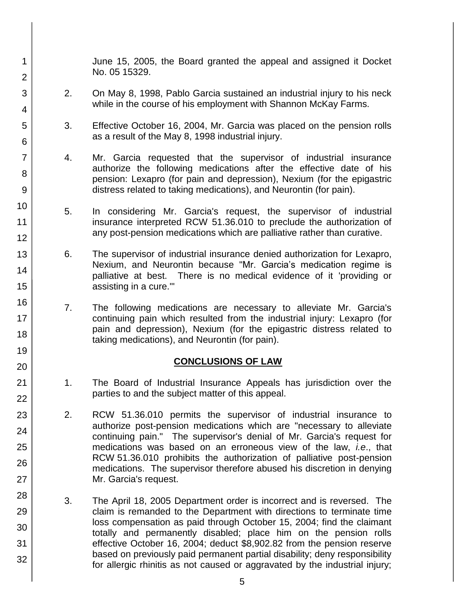June 15, 2005, the Board granted the appeal and assigned it Docket No. 05 15329.

2. On May 8, 1998, Pablo Garcia sustained an industrial injury to his neck while in the course of his employment with Shannon McKay Farms.

1

2

3

4

5

6

7

8

9

10

11 12

13

14

15

16

17 18

19

20

21 22

23

24

25

26

27

28

29

30

31

32

- 3. Effective October 16, 2004, Mr. Garcia was placed on the pension rolls as a result of the May 8, 1998 industrial injury.
- 4. Mr. Garcia requested that the supervisor of industrial insurance authorize the following medications after the effective date of his pension: Lexapro (for pain and depression), Nexium (for the epigastric distress related to taking medications), and Neurontin (for pain).
- 5. In considering Mr. Garcia's request, the supervisor of industrial insurance interpreted RCW 51.36.010 to preclude the authorization of any post-pension medications which are palliative rather than curative.
- 6. The supervisor of industrial insurance denied authorization for Lexapro, Nexium, and Neurontin because "Mr. Garcia's medication regime is palliative at best. There is no medical evidence of it 'providing or assisting in a cure.'"
	- 7. The following medications are necessary to alleviate Mr. Garcia's continuing pain which resulted from the industrial injury: Lexapro (for pain and depression), Nexium (for the epigastric distress related to taking medications), and Neurontin (for pain).

### **CONCLUSIONS OF LAW**

- 1. The Board of Industrial Insurance Appeals has jurisdiction over the parties to and the subject matter of this appeal.
- 2. RCW 51.36.010 permits the supervisor of industrial insurance to authorize post-pension medications which are "necessary to alleviate continuing pain." The supervisor's denial of Mr. Garcia's request for medications was based on an erroneous view of the law, *i.e*., that RCW 51.36.010 prohibits the authorization of palliative post-pension medications. The supervisor therefore abused his discretion in denying Mr. Garcia's request.
- 3. The April 18, 2005 Department order is incorrect and is reversed. The claim is remanded to the Department with directions to terminate time loss compensation as paid through October 15, 2004; find the claimant totally and permanently disabled; place him on the pension rolls effective October 16, 2004; deduct \$8,902.82 from the pension reserve based on previously paid permanent partial disability; deny responsibility for allergic rhinitis as not caused or aggravated by the industrial injury;